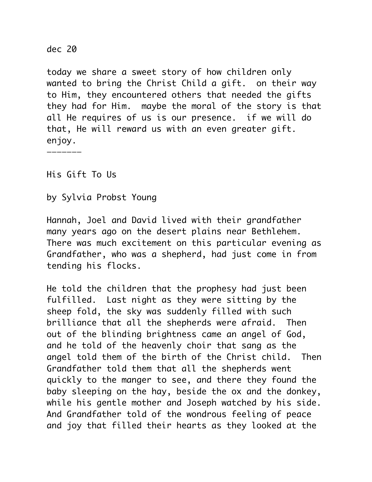dec 20

today we share a sweet story of how children only wanted to bring the Christ Child a gift. on their way to Him, they encountered others that needed the gifts they had for Him. maybe the moral of the story is that all He requires of us is our presence. if we will do that, He will reward us with an even greater gift. enjoy.

———————

His Gift To Us

by Sylvia Probst Young

Hannah, Joel and David lived with their grandfather many years ago on the desert plains near Bethlehem. There was much excitement on this particular evening as Grandfather, who was a shepherd, had just come in from tending his flocks.

He told the children that the prophesy had just been fulfilled. Last night as they were sitting by the sheep fold, the sky was suddenly filled with such brilliance that all the shepherds were afraid. Then out of the blinding brightness came an angel of God, and he told of the heavenly choir that sang as the angel told them of the birth of the Christ child. Then Grandfather told them that all the shepherds went quickly to the manger to see, and there they found the baby sleeping on the hay, beside the ox and the donkey, while his gentle mother and Joseph watched by his side. And Grandfather told of the wondrous feeling of peace and joy that filled their hearts as they looked at the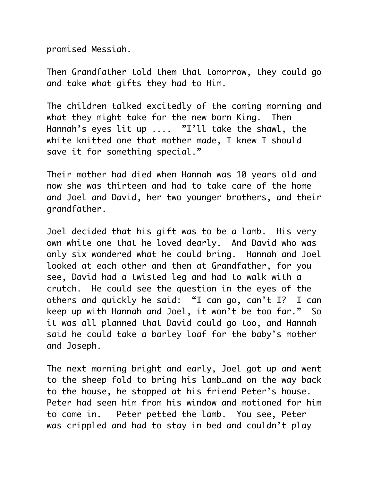promised Messiah.

Then Grandfather told them that tomorrow, they could go and take what gifts they had to Him.

The children talked excitedly of the coming morning and what they might take for the new born King. Then Hannah's eyes lit up .... "I'll take the shawl, the white knitted one that mother made, I knew I should save it for something special."

Their mother had died when Hannah was 10 years old and now she was thirteen and had to take care of the home and Joel and David, her two younger brothers, and their grandfather.

Joel decided that his gift was to be a lamb. His very own white one that he loved dearly. And David who was only six wondered what he could bring. Hannah and Joel looked at each other and then at Grandfather, for you see, David had a twisted leg and had to walk with a crutch. He could see the question in the eyes of the others and quickly he said: "I can go, can't I? I can keep up with Hannah and Joel, it won't be too far." So it was all planned that David could go too, and Hannah said he could take a barley loaf for the baby's mother and Joseph.

The next morning bright and early, Joel got up and went to the sheep fold to bring his lamb…and on the way back to the house, he stopped at his friend Peter's house. Peter had seen him from his window and motioned for him to come in. Peter petted the lamb. You see, Peter was crippled and had to stay in bed and couldn't play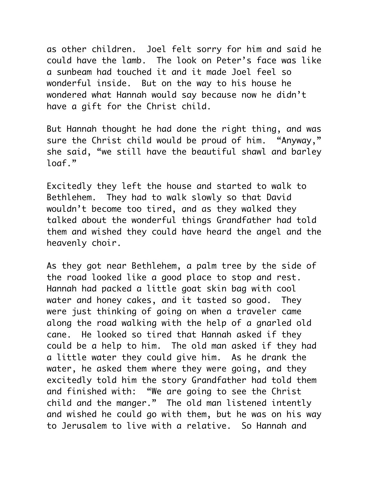as other children. Joel felt sorry for him and said he could have the lamb. The look on Peter's face was like a sunbeam had touched it and it made Joel feel so wonderful inside. But on the way to his house he wondered what Hannah would say because now he didn't have a gift for the Christ child.

But Hannah thought he had done the right thing, and was sure the Christ child would be proud of him. "Anyway," she said, "we still have the beautiful shawl and barley loaf."

Excitedly they left the house and started to walk to Bethlehem. They had to walk slowly so that David wouldn't become too tired, and as they walked they talked about the wonderful things Grandfather had told them and wished they could have heard the angel and the heavenly choir.

As they got near Bethlehem, a palm tree by the side of the road looked like a good place to stop and rest. Hannah had packed a little goat skin bag with cool water and honey cakes, and it tasted so good. They were just thinking of going on when a traveler came along the road walking with the help of a gnarled old cane. He looked so tired that Hannah asked if they could be a help to him. The old man asked if they had a little water they could give him. As he drank the water, he asked them where they were going, and they excitedly told him the story Grandfather had told them and finished with: "We are going to see the Christ child and the manger." The old man listened intently and wished he could go with them, but he was on his way to Jerusalem to live with a relative. So Hannah and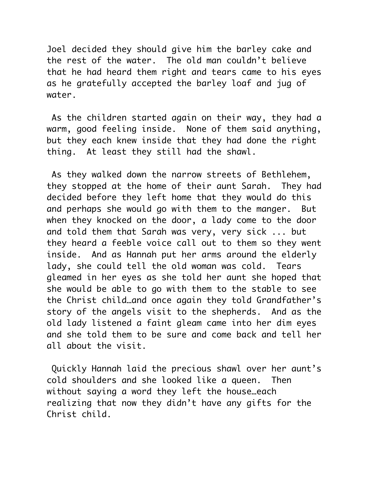Joel decided they should give him the barley cake and the rest of the water. The old man couldn't believe that he had heard them right and tears came to his eyes as he gratefully accepted the barley loaf and jug of water.

 As the children started again on their way, they had a warm, good feeling inside. None of them said anything, but they each knew inside that they had done the right thing. At least they still had the shawl.

 As they walked down the narrow streets of Bethlehem, they stopped at the home of their aunt Sarah. They had decided before they left home that they would do this and perhaps she would go with them to the manger. But when they knocked on the door, a lady come to the door and told them that Sarah was very, very sick ... but they heard a feeble voice call out to them so they went inside. And as Hannah put her arms around the elderly lady, she could tell the old woman was cold. Tears gleamed in her eyes as she told her aunt she hoped that she would be able to go with them to the stable to see the Christ child…and once again they told Grandfather's story of the angels visit to the shepherds. And as the old lady listened a faint gleam came into her dim eyes and she told them to be sure and come back and tell her all about the visit.

 Quickly Hannah laid the precious shawl over her aunt's cold shoulders and she looked like a queen. Then without saying a word they left the house…each realizing that now they didn't have any gifts for the Christ child.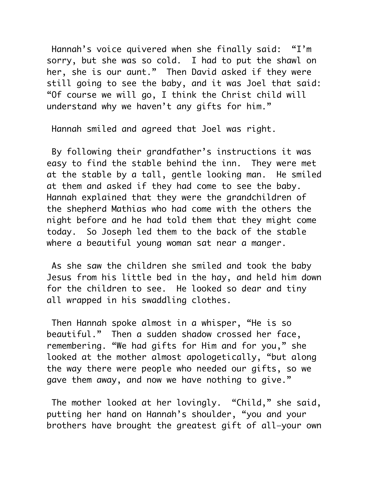Hannah's voice quivered when she finally said: "I'm sorry, but she was so cold. I had to put the shawl on her, she is our aunt." Then David asked if they were still going to see the baby, and it was Joel that said: "Of course we will go, I think the Christ child will understand why we haven't any gifts for him."

Hannah smiled and agreed that Joel was right.

 By following their grandfather's instructions it was easy to find the stable behind the inn. They were met at the stable by a tall, gentle looking man. He smiled at them and asked if they had come to see the baby. Hannah explained that they were the grandchildren of the shepherd Mathias who had come with the others the night before and he had told them that they might come today. So Joseph led them to the back of the stable where a beautiful young woman sat near a manger.

 As she saw the children she smiled and took the baby Jesus from his little bed in the hay, and held him down for the children to see. He looked so dear and tiny all wrapped in his swaddling clothes.

 Then Hannah spoke almost in a whisper, "He is so beautiful." Then a sudden shadow crossed her face, remembering. "We had gifts for Him and for you," she looked at the mother almost apologetically, "but along the way there were people who needed our gifts, so we gave them away, and now we have nothing to give."

 The mother looked at her lovingly. "Child," she said, putting her hand on Hannah's shoulder, "you and your brothers have brought the greatest gift of all—your own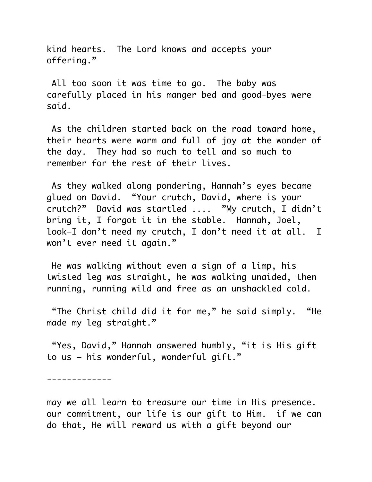kind hearts. The Lord knows and accepts your offering."

 All too soon it was time to go. The baby was carefully placed in his manger bed and good-byes were said.

 As the children started back on the road toward home, their hearts were warm and full of joy at the wonder of the day. They had so much to tell and so much to remember for the rest of their lives.

 As they walked along pondering, Hannah's eyes became glued on David. "Your crutch, David, where is your crutch?" David was startled .... "My crutch, I didn't bring it, I forgot it in the stable. Hannah, Joel, look—I don't need my crutch, I don't need it at all. I won't ever need it again."

 He was walking without even a sign of a limp, his twisted leg was straight, he was walking unaided, then running, running wild and free as an unshackled cold.

 "The Christ child did it for me," he said simply. "He made my leg straight."

 "Yes, David," Hannah answered humbly, "it is His gift to us — his wonderful, wonderful gift."

-------------

may we all learn to treasure our time in His presence. our commitment, our life is our gift to Him. if we can do that, He will reward us with a gift beyond our